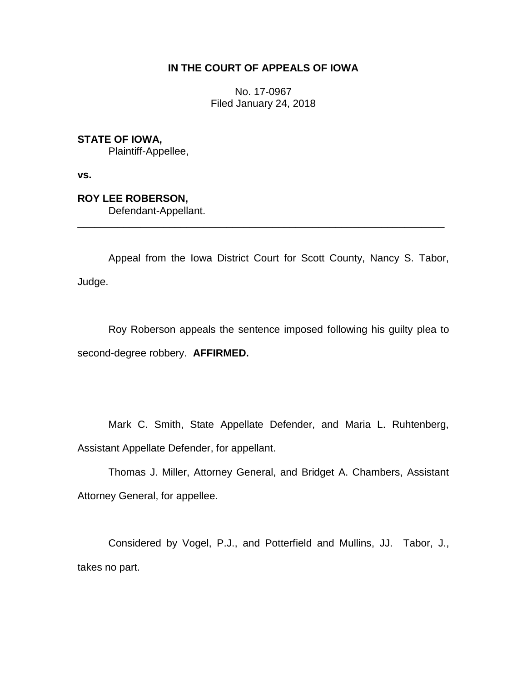## **IN THE COURT OF APPEALS OF IOWA**

No. 17-0967 Filed January 24, 2018

**STATE OF IOWA,**

Plaintiff-Appellee,

**vs.**

**ROY LEE ROBERSON,**

Defendant-Appellant.

Appeal from the Iowa District Court for Scott County, Nancy S. Tabor, Judge.

\_\_\_\_\_\_\_\_\_\_\_\_\_\_\_\_\_\_\_\_\_\_\_\_\_\_\_\_\_\_\_\_\_\_\_\_\_\_\_\_\_\_\_\_\_\_\_\_\_\_\_\_\_\_\_\_\_\_\_\_\_\_\_\_

Roy Roberson appeals the sentence imposed following his guilty plea to second-degree robbery. **AFFIRMED.** 

Mark C. Smith, State Appellate Defender, and Maria L. Ruhtenberg, Assistant Appellate Defender, for appellant.

Thomas J. Miller, Attorney General, and Bridget A. Chambers, Assistant Attorney General, for appellee.

Considered by Vogel, P.J., and Potterfield and Mullins, JJ. Tabor, J., takes no part.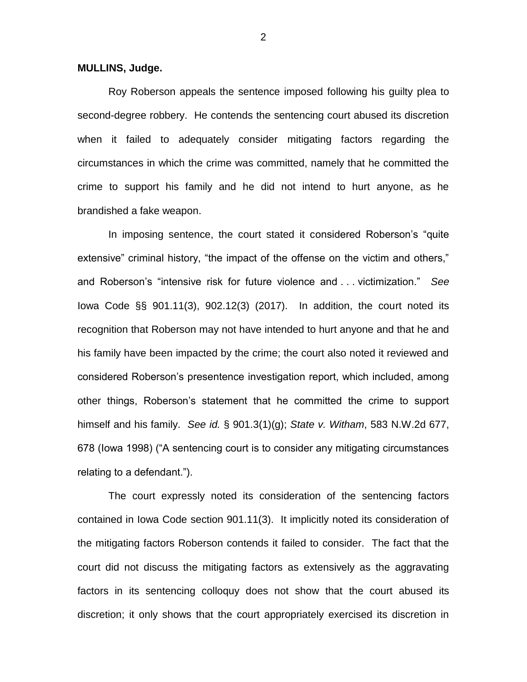## **MULLINS, Judge.**

Roy Roberson appeals the sentence imposed following his guilty plea to second-degree robbery. He contends the sentencing court abused its discretion when it failed to adequately consider mitigating factors regarding the circumstances in which the crime was committed, namely that he committed the crime to support his family and he did not intend to hurt anyone, as he brandished a fake weapon.

In imposing sentence, the court stated it considered Roberson's "quite extensive" criminal history, "the impact of the offense on the victim and others," and Roberson's "intensive risk for future violence and . . . victimization." *See*  Iowa Code §§ 901.11(3), 902.12(3) (2017). In addition, the court noted its recognition that Roberson may not have intended to hurt anyone and that he and his family have been impacted by the crime; the court also noted it reviewed and considered Roberson's presentence investigation report, which included, among other things, Roberson's statement that he committed the crime to support himself and his family. *See id.* § 901.3(1)(g); *State v. Witham*, 583 N.W.2d 677, 678 (Iowa 1998) ("A sentencing court is to consider any mitigating circumstances relating to a defendant.").

The court expressly noted its consideration of the sentencing factors contained in Iowa Code section 901.11(3). It implicitly noted its consideration of the mitigating factors Roberson contends it failed to consider. The fact that the court did not discuss the mitigating factors as extensively as the aggravating factors in its sentencing colloquy does not show that the court abused its discretion; it only shows that the court appropriately exercised its discretion in

2